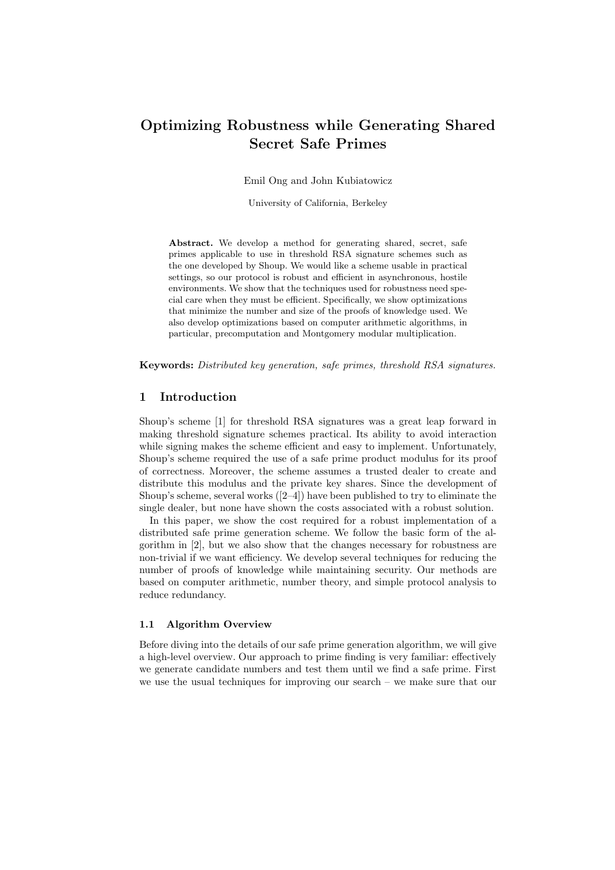# Optimizing Robustness while Generating Shared Secret Safe Primes

Emil Ong and John Kubiatowicz

University of California, Berkeley

Abstract. We develop a method for generating shared, secret, safe primes applicable to use in threshold RSA signature schemes such as the one developed by Shoup. We would like a scheme usable in practical settings, so our protocol is robust and efficient in asynchronous, hostile environments. We show that the techniques used for robustness need special care when they must be efficient. Specifically, we show optimizations that minimize the number and size of the proofs of knowledge used. We also develop optimizations based on computer arithmetic algorithms, in particular, precomputation and Montgomery modular multiplication.

Keywords: Distributed key generation, safe primes, threshold RSA signatures.

## 1 Introduction

Shoup's scheme [1] for threshold RSA signatures was a great leap forward in making threshold signature schemes practical. Its ability to avoid interaction while signing makes the scheme efficient and easy to implement. Unfortunately, Shoup's scheme required the use of a safe prime product modulus for its proof of correctness. Moreover, the scheme assumes a trusted dealer to create and distribute this modulus and the private key shares. Since the development of Shoup's scheme, several works  $([2-4])$  have been published to try to eliminate the single dealer, but none have shown the costs associated with a robust solution.

In this paper, we show the cost required for a robust implementation of a distributed safe prime generation scheme. We follow the basic form of the algorithm in [2], but we also show that the changes necessary for robustness are non-trivial if we want efficiency. We develop several techniques for reducing the number of proofs of knowledge while maintaining security. Our methods are based on computer arithmetic, number theory, and simple protocol analysis to reduce redundancy.

#### 1.1 Algorithm Overview

Before diving into the details of our safe prime generation algorithm, we will give a high-level overview. Our approach to prime finding is very familiar: effectively we generate candidate numbers and test them until we find a safe prime. First we use the usual techniques for improving our search – we make sure that our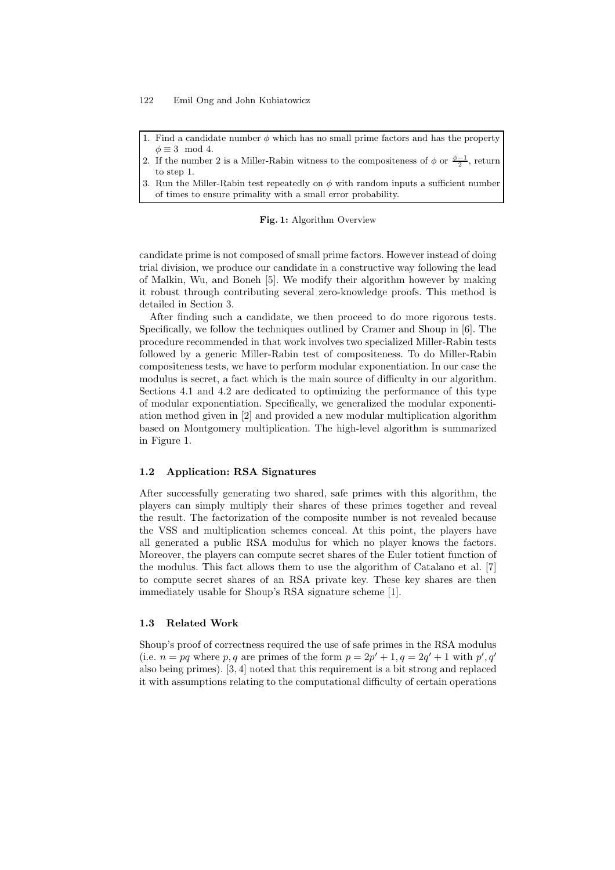- 1. Find a candidate number  $\phi$  which has no small prime factors and has the property  $\phi \equiv 3 \mod 4$ .
- 2. If the number 2 is a Miller-Rabin witness to the compositeness of  $\phi$  or  $\frac{\phi-1}{2}$ , return to step 1.
- 3. Run the Miller-Rabin test repeatedly on  $\phi$  with random inputs a sufficient number of times to ensure primality with a small error probability.

#### Fig. 1: Algorithm Overview

candidate prime is not composed of small prime factors. However instead of doing trial division, we produce our candidate in a constructive way following the lead of Malkin, Wu, and Boneh [5]. We modify their algorithm however by making it robust through contributing several zero-knowledge proofs. This method is detailed in Section 3.

After finding such a candidate, we then proceed to do more rigorous tests. Specifically, we follow the techniques outlined by Cramer and Shoup in [6]. The procedure recommended in that work involves two specialized Miller-Rabin tests followed by a generic Miller-Rabin test of compositeness. To do Miller-Rabin compositeness tests, we have to perform modular exponentiation. In our case the modulus is secret, a fact which is the main source of difficulty in our algorithm. Sections 4.1 and 4.2 are dedicated to optimizing the performance of this type of modular exponentiation. Specifically, we generalized the modular exponentiation method given in [2] and provided a new modular multiplication algorithm based on Montgomery multiplication. The high-level algorithm is summarized in Figure 1.

#### 1.2 Application: RSA Signatures

After successfully generating two shared, safe primes with this algorithm, the players can simply multiply their shares of these primes together and reveal the result. The factorization of the composite number is not revealed because the VSS and multiplication schemes conceal. At this point, the players have all generated a public RSA modulus for which no player knows the factors. Moreover, the players can compute secret shares of the Euler totient function of the modulus. This fact allows them to use the algorithm of Catalano et al. [7] to compute secret shares of an RSA private key. These key shares are then immediately usable for Shoup's RSA signature scheme [1].

#### 1.3 Related Work

Shoup's proof of correctness required the use of safe primes in the RSA modulus (i.e.  $n = pq$  where p, q are primes of the form  $p = 2p' + 1$ ,  $q = 2q' + 1$  with p', q' also being primes). [3, 4] noted that this requirement is a bit strong and replaced it with assumptions relating to the computational difficulty of certain operations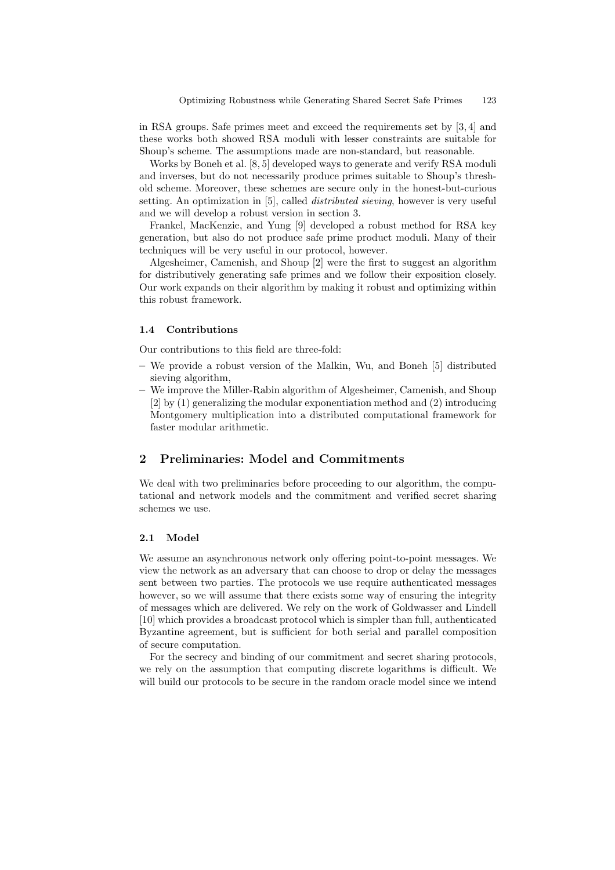in RSA groups. Safe primes meet and exceed the requirements set by [3, 4] and these works both showed RSA moduli with lesser constraints are suitable for Shoup's scheme. The assumptions made are non-standard, but reasonable.

Works by Boneh et al. [8, 5] developed ways to generate and verify RSA moduli and inverses, but do not necessarily produce primes suitable to Shoup's threshold scheme. Moreover, these schemes are secure only in the honest-but-curious setting. An optimization in [5], called distributed sieving, however is very useful and we will develop a robust version in section 3.

Frankel, MacKenzie, and Yung [9] developed a robust method for RSA key generation, but also do not produce safe prime product moduli. Many of their techniques will be very useful in our protocol, however.

Algesheimer, Camenish, and Shoup [2] were the first to suggest an algorithm for distributively generating safe primes and we follow their exposition closely. Our work expands on their algorithm by making it robust and optimizing within this robust framework.

#### 1.4 Contributions

Our contributions to this field are three-fold:

- We provide a robust version of the Malkin, Wu, and Boneh [5] distributed sieving algorithm,
- We improve the Miller-Rabin algorithm of Algesheimer, Camenish, and Shoup [2] by (1) generalizing the modular exponentiation method and (2) introducing Montgomery multiplication into a distributed computational framework for faster modular arithmetic.

# 2 Preliminaries: Model and Commitments

We deal with two preliminaries before proceeding to our algorithm, the computational and network models and the commitment and verified secret sharing schemes we use.

#### 2.1 Model

We assume an asynchronous network only offering point-to-point messages. We view the network as an adversary that can choose to drop or delay the messages sent between two parties. The protocols we use require authenticated messages however, so we will assume that there exists some way of ensuring the integrity of messages which are delivered. We rely on the work of Goldwasser and Lindell [10] which provides a broadcast protocol which is simpler than full, authenticated Byzantine agreement, but is sufficient for both serial and parallel composition of secure computation.

For the secrecy and binding of our commitment and secret sharing protocols, we rely on the assumption that computing discrete logarithms is difficult. We will build our protocols to be secure in the random oracle model since we intend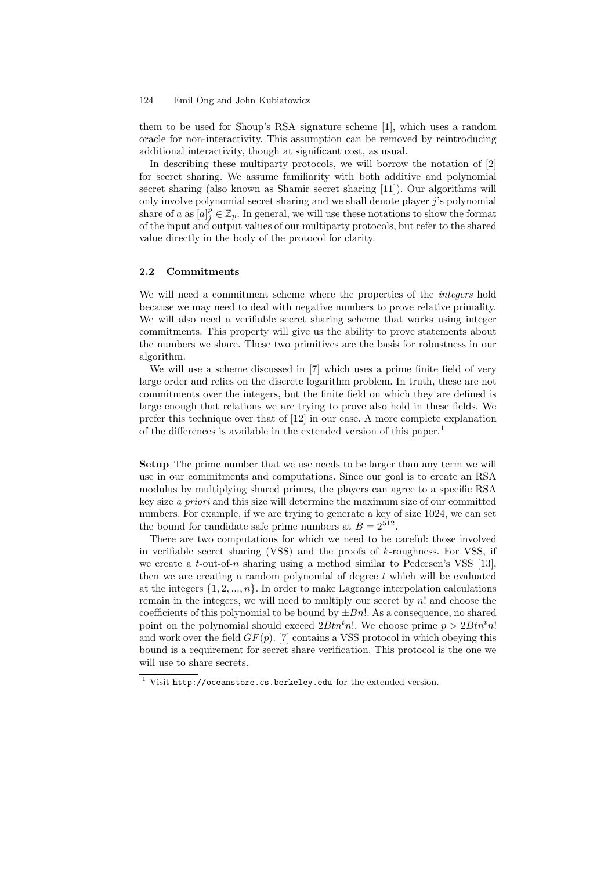them to be used for Shoup's RSA signature scheme [1], which uses a random oracle for non-interactivity. This assumption can be removed by reintroducing additional interactivity, though at significant cost, as usual.

In describing these multiparty protocols, we will borrow the notation of [2] for secret sharing. We assume familiarity with both additive and polynomial secret sharing (also known as Shamir secret sharing [11]). Our algorithms will only involve polynomial secret sharing and we shall denote player  $j$ 's polynomial share of a as  $[a]_j^p \in \mathbb{Z}_p$ . In general, we will use these notations to show the format of the input and output values of our multiparty protocols, but refer to the shared value directly in the body of the protocol for clarity.

#### 2.2 Commitments

We will need a commitment scheme where the properties of the *integers* hold because we may need to deal with negative numbers to prove relative primality. We will also need a verifiable secret sharing scheme that works using integer commitments. This property will give us the ability to prove statements about the numbers we share. These two primitives are the basis for robustness in our algorithm.

We will use a scheme discussed in [7] which uses a prime finite field of very large order and relies on the discrete logarithm problem. In truth, these are not commitments over the integers, but the finite field on which they are defined is large enough that relations we are trying to prove also hold in these fields. We prefer this technique over that of [12] in our case. A more complete explanation of the differences is available in the extended version of this paper.<sup>1</sup>

Setup The prime number that we use needs to be larger than any term we will use in our commitments and computations. Since our goal is to create an RSA modulus by multiplying shared primes, the players can agree to a specific RSA key size a priori and this size will determine the maximum size of our committed numbers. For example, if we are trying to generate a key of size 1024, we can set the bound for candidate safe prime numbers at  $B = 2^{512}$ .

There are two computations for which we need to be careful: those involved in verifiable secret sharing (VSS) and the proofs of  $k$ -roughness. For VSS, if we create a t-out-of-n sharing using a method similar to Pedersen's VSS [13], then we are creating a random polynomial of degree  $t$  which will be evaluated at the integers  $\{1, 2, ..., n\}$ . In order to make Lagrange interpolation calculations remain in the integers, we will need to multiply our secret by  $n!$  and choose the coefficients of this polynomial to be bound by  $\pm Bn!$ . As a consequence, no shared point on the polynomial should exceed  $2Btn<sup>t</sup>n!$ . We choose prime  $p > 2Btn<sup>t</sup>n!$ and work over the field  $GF(p)$ . [7] contains a VSS protocol in which obeying this bound is a requirement for secret share verification. This protocol is the one we will use to share secrets.

 $1$  Visit http://oceanstore.cs.berkeley.edu for the extended version.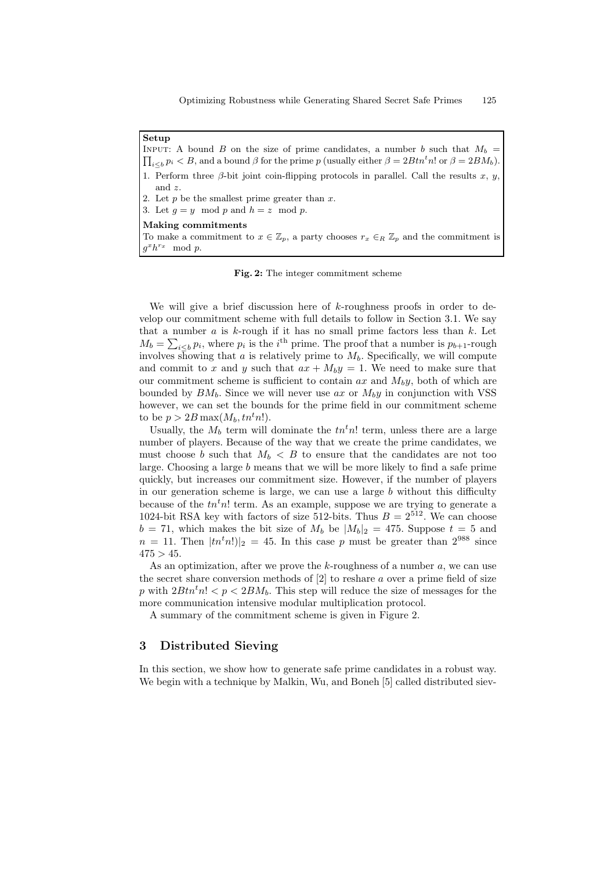Setup  $\prod_{i\leq b} p_i < B$ , and a bound  $\beta$  for the prime p (usually either  $\beta = 2Btn^t n!$  or  $\beta = 2BM_b$ ). INPUT: A bound B on the size of prime candidates, a number b such that  $M_b$  = 1. Perform three  $\beta$ -bit joint coin-flipping protocols in parallel. Call the results x, y, and z. 2. Let  $p$  be the smallest prime greater than  $x$ . 3. Let  $q = y \mod p$  and  $h = z \mod p$ . Making commitments To make a commitment to  $x \in \mathbb{Z}_p$ , a party chooses  $r_x \in_R \mathbb{Z}_p$  and the commitment is  $g^x h^{r_x} \mod p.$ 

Fig. 2: The integer commitment scheme

We will give a brief discussion here of  $k$ -roughness proofs in order to develop our commitment scheme with full details to follow in Section 3.1. We say that a number  $a$  is  $k$ -rough if it has no small prime factors less than  $k$ . Let  $M_b = \sum_{i \leq b} p_i$ , where  $p_i$  is the i<sup>th</sup> prime. The proof that a number is  $p_{b+1}$ -rough involves showing that a is relatively prime to  $M_b$ . Specifically, we will compute and commit to x and y such that  $ax + M_by = 1$ . We need to make sure that our commitment scheme is sufficient to contain  $ax$  and  $M_by$ , both of which are bounded by  $BM_b$ . Since we will never use ax or  $M_by$  in conjunction with VSS however, we can set the bounds for the prime field in our commitment scheme to be  $p > 2B \max(M_b, tn^t n!)$ .

Usually, the  $M_b$  term will dominate the  $t n^t n!$  term, unless there are a large number of players. Because of the way that we create the prime candidates, we must choose b such that  $M_b < B$  to ensure that the candidates are not too large. Choosing a large b means that we will be more likely to find a safe prime quickly, but increases our commitment size. However, if the number of players in our generation scheme is large, we can use a large  $b$  without this difficulty because of the  $tn<sup>t</sup>n!$  term. As an example, suppose we are trying to generate a 1024-bit RSA key with factors of size 512-bits. Thus  $B = 2^{512}$ . We can choose  $b = 71$ , which makes the bit size of  $M_b$  be  $|M_b|_2 = 475$ . Suppose  $t = 5$  and  $n = 11$ . Then  $|tn<sup>t</sup>n!|_2 = 45$ . In this case p must be greater than  $2^{988}$  since  $475 > 45$ .

As an optimization, after we prove the  $k$ -roughness of a number  $a$ , we can use the secret share conversion methods of  $[2]$  to reshare a over a prime field of size p with  $2Btn<sup>t</sup>n! < p < 2BM_b$ . This step will reduce the size of messages for the more communication intensive modular multiplication protocol.

A summary of the commitment scheme is given in Figure 2.

## 3 Distributed Sieving

In this section, we show how to generate safe prime candidates in a robust way. We begin with a technique by Malkin, Wu, and Boneh [5] called distributed siev-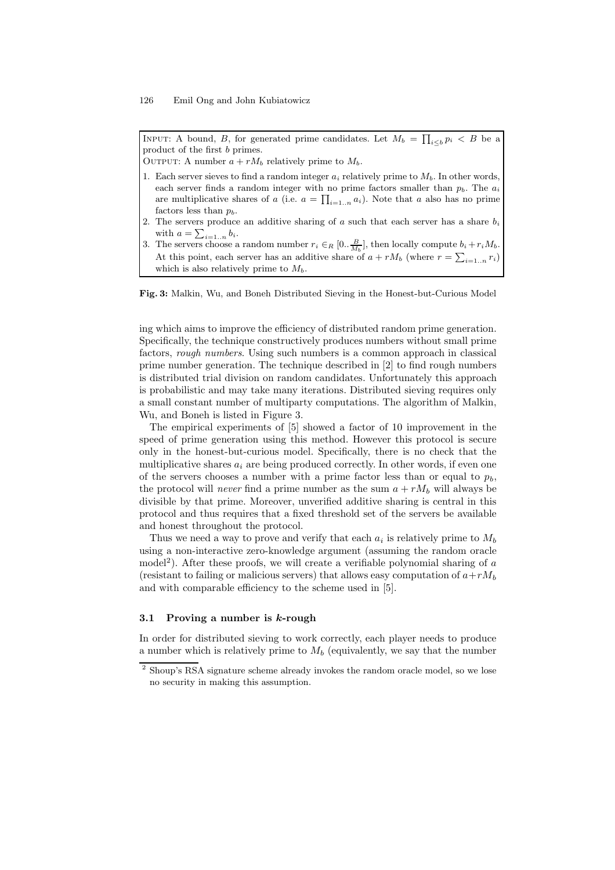INPUT: A bound, B, for generated prime candidates. Let  $M_b = \prod_{i \leq b} p_i < B$  be a product of the first b primes.

OUTPUT: A number  $a + rM_b$  relatively prime to  $M_b$ .

- 1. Each server sieves to find a random integer  $a_i$  relatively prime to  $M_b$ . In other words, each server finds a random integer with no prime factors smaller than  $p<sub>b</sub>$ . The  $a<sub>i</sub>$ are multiplicative shares of a (i.e.  $a = \prod_{i=1...n} a_i$ ). Note that a also has no prime factors less than  $p_b$ .
- 2. The servers produce an additive sharing of  $a$  such that each server has a share  $b_i$ with  $a = \sum_{i=1..n} b_i$ .
- 3. The servers choose a random number  $r_i \in_R [0, \frac{B}{M_b}]$ , then locally compute  $b_i + r_i M_b$ . At this point, each server has an additive share of  $a + rM_b$  (where  $r = \sum_{i=1...n} r_i$ ) which is also relatively prime to  $M_b$ .

Fig. 3: Malkin, Wu, and Boneh Distributed Sieving in the Honest-but-Curious Model

ing which aims to improve the efficiency of distributed random prime generation. Specifically, the technique constructively produces numbers without small prime factors, rough numbers. Using such numbers is a common approach in classical prime number generation. The technique described in [2] to find rough numbers is distributed trial division on random candidates. Unfortunately this approach is probabilistic and may take many iterations. Distributed sieving requires only a small constant number of multiparty computations. The algorithm of Malkin, Wu, and Boneh is listed in Figure 3.

The empirical experiments of [5] showed a factor of 10 improvement in the speed of prime generation using this method. However this protocol is secure only in the honest-but-curious model. Specifically, there is no check that the multiplicative shares  $a_i$  are being produced correctly. In other words, if even one of the servers chooses a number with a prime factor less than or equal to  $p_b$ , the protocol will *never* find a prime number as the sum  $a + rM_b$  will always be divisible by that prime. Moreover, unverified additive sharing is central in this protocol and thus requires that a fixed threshold set of the servers be available and honest throughout the protocol.

Thus we need a way to prove and verify that each  $a_i$  is relatively prime to  $M_b$ using a non-interactive zero-knowledge argument (assuming the random oracle model<sup>2</sup>). After these proofs, we will create a verifiable polynomial sharing of a (resistant to failing or malicious servers) that allows easy computation of  $a+rM_b$ and with comparable efficiency to the scheme used in [5].

#### 3.1 Proving a number is  $k$ -rough

In order for distributed sieving to work correctly, each player needs to produce a number which is relatively prime to  $M_b$  (equivalently, we say that the number

<sup>2</sup> Shoup's RSA signature scheme already invokes the random oracle model, so we lose no security in making this assumption.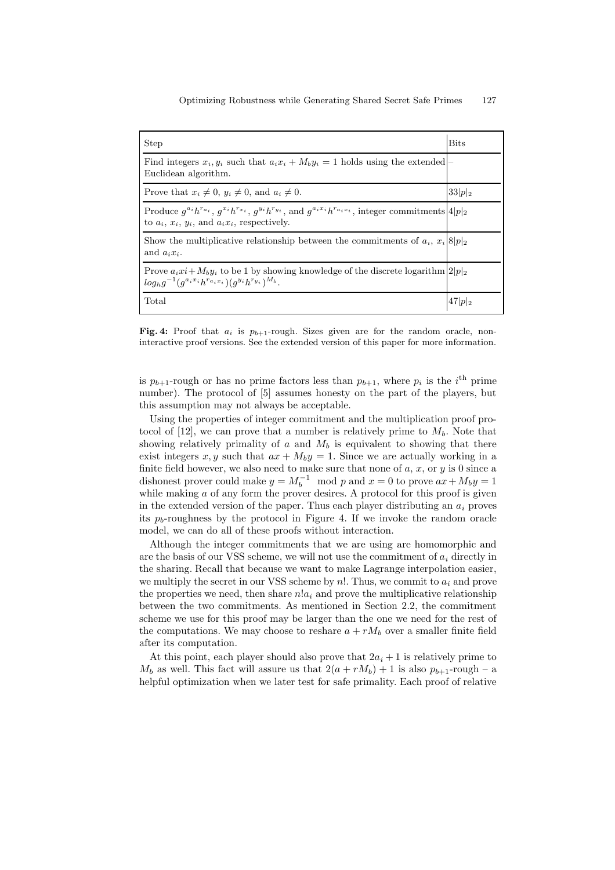| <b>Step</b>                                                                                                                                                                                     | <b>Bits</b> |
|-------------------------------------------------------------------------------------------------------------------------------------------------------------------------------------------------|-------------|
| Find integers $x_i, y_i$ such that $a_i x_i + M_b y_i = 1$ holds using the extended<br>Euclidean algorithm.                                                                                     |             |
| Prove that $x_i \neq 0$ , $y_i \neq 0$ , and $a_i \neq 0$ .                                                                                                                                     | $33 p _2$   |
| Produce $g^{a_i}h^{r_{a_i}}, g^{x_i}h^{r_{x_i}}, g^{y_i}h^{r_{y_i}},$ and $g^{a_ix_i}h^{r_{a_ix_i}},$ integer commitments $ 4 p _2$<br>to $a_i$ , $x_i$ , $y_i$ , and $a_i x_i$ , respectively. |             |
| Show the multiplicative relationship between the commitments of $a_i$ , $x_i 8 p _2$<br>and $a_i x_i$ .                                                                                         |             |
| Prove $a_i x_i + M_b y_i$ to be 1 by showing knowledge of the discrete logarithm $ 2 p _2$<br>$log_h g^{-1}(g^{a_i x_i} h^{r_{a_i x_i}})(q^{y_i} h^{r_{y_i}})^{M_b}.$                           |             |
| Total                                                                                                                                                                                           | $47 p _2$   |

Fig. 4: Proof that  $a_i$  is  $p_{b+1}$ -rough. Sizes given are for the random oracle, noninteractive proof versions. See the extended version of this paper for more information.

is  $p_{b+1}$ -rough or has no prime factors less than  $p_{b+1}$ , where  $p_i$  is the i<sup>th</sup> prime number). The protocol of [5] assumes honesty on the part of the players, but this assumption may not always be acceptable.

Using the properties of integer commitment and the multiplication proof protocol of [12], we can prove that a number is relatively prime to  $M_h$ . Note that showing relatively primality of  $a$  and  $M_b$  is equivalent to showing that there exist integers x, y such that  $ax + M_by = 1$ . Since we are actually working in a finite field however, we also need to make sure that none of  $a, x,$  or  $y$  is 0 since a dishonest prover could make  $y = M_b^{-1} \mod p$  and  $x = 0$  to prove  $ax + M_b y = 1$ while making  $a$  of any form the prover desires. A protocol for this proof is given in the extended version of the paper. Thus each player distributing an  $a_i$  proves its  $p_b$ -roughness by the protocol in Figure 4. If we invoke the random oracle model, we can do all of these proofs without interaction.

Although the integer commitments that we are using are homomorphic and are the basis of our VSS scheme, we will not use the commitment of  $a_i$  directly in the sharing. Recall that because we want to make Lagrange interpolation easier, we multiply the secret in our VSS scheme by  $n!$ . Thus, we commit to  $a_i$  and prove the properties we need, then share  $n!a_i$  and prove the multiplicative relationship between the two commitments. As mentioned in Section 2.2, the commitment scheme we use for this proof may be larger than the one we need for the rest of the computations. We may choose to reshare  $a + rM_b$  over a smaller finite field after its computation.

At this point, each player should also prove that  $2a_i + 1$  is relatively prime to  $M_b$  as well. This fact will assure us that  $2(a + rM_b) + 1$  is also  $p_{b+1}$ -rough – a helpful optimization when we later test for safe primality. Each proof of relative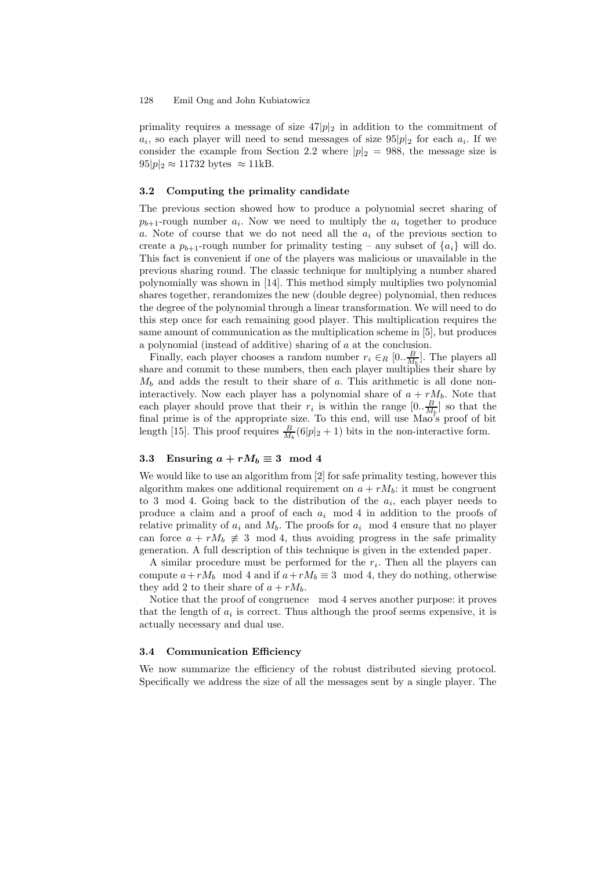primality requires a message of size  $47|p|_2$  in addition to the commitment of  $a_i$ , so each player will need to send messages of size  $95|p|_2$  for each  $a_i$ . If we consider the example from Section 2.2 where  $|p|_2 = 988$ , the message size is  $95|p|_2 \approx 11732$  bytes  $\approx 11$ kB.

#### 3.2 Computing the primality candidate

The previous section showed how to produce a polynomial secret sharing of  $p_{b+1}$ -rough number  $a_i$ . Now we need to multiply the  $a_i$  together to produce a. Note of course that we do not need all the  $a_i$  of the previous section to create a  $p_{b+1}$ -rough number for primality testing – any subset of  $\{a_i\}$  will do. This fact is convenient if one of the players was malicious or unavailable in the previous sharing round. The classic technique for multiplying a number shared polynomially was shown in [14]. This method simply multiplies two polynomial shares together, rerandomizes the new (double degree) polynomial, then reduces the degree of the polynomial through a linear transformation. We will need to do this step once for each remaining good player. This multiplication requires the same amount of communication as the multiplication scheme in [5], but produces a polynomial (instead of additive) sharing of a at the conclusion.

Finally, each player chooses a random number  $r_i \in_R [0, \frac{B}{M_b}]$ . The players all share and commit to these numbers, then each player multiplies their share by  $M_b$  and adds the result to their share of a. This arithmetic is all done noninteractively. Now each player has a polynomial share of  $a + rM_b$ . Note that each player should prove that their  $r_i$  is within the range  $[0, \frac{B}{M_b}]$  so that the final prime is of the appropriate size. To this end, will use Mao's proof of bit length [15]. This proof requires  $\frac{B}{M_b}(6|p|_2+1)$  bits in the non-interactive form.

## 3.3 Ensuring  $a + rM_b \equiv 3 \mod 4$

We would like to use an algorithm from [2] for safe primality testing, however this algorithm makes one additional requirement on  $a + rM_b$ : it must be congruent to 3 mod 4. Going back to the distribution of the  $a_i$ , each player needs to produce a claim and a proof of each  $a_i$  mod 4 in addition to the proofs of relative primality of  $a_i$  and  $M_b$ . The proofs for  $a_i$  mod 4 ensure that no player can force  $a + rM_b \neq 3 \mod 4$ , thus avoiding progress in the safe primality generation. A full description of this technique is given in the extended paper.

A similar procedure must be performed for the  $r_i$ . Then all the players can compute  $a+rM_b \mod 4$  and if  $a+rM_b \equiv 3 \mod 4$ , they do nothing, otherwise they add 2 to their share of  $a + rM_b$ .

Notice that the proof of congruence mod 4 serves another purpose: it proves that the length of  $a_i$  is correct. Thus although the proof seems expensive, it is actually necessary and dual use.

#### 3.4 Communication Efficiency

We now summarize the efficiency of the robust distributed sieving protocol. Specifically we address the size of all the messages sent by a single player. The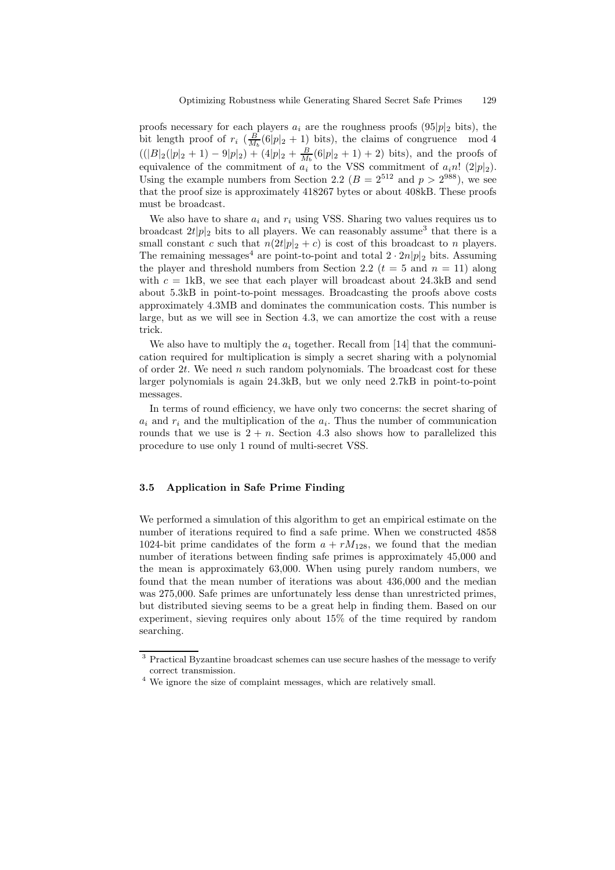proofs necessary for each players  $a_i$  are the roughness proofs (95|p|<sub>2</sub> bits), the bit length proof of  $r_i \left( \frac{B}{M_b}(6|p|_2 + 1) \right)$  bits), the claims of congruence mod 4  $((|B|_2(|p|_2 + 1) - 9|p|_2) + (4|p|_2 + \frac{B}{M_b}(6|p|_2 + 1) + 2)$  bits), and the proofs of equivalence of the commitment of  $a_i$  to the VSS commitment of  $a_i n!$  (2|p|2). Using the example numbers from Section 2.2 ( $B = 2^{512}$  and  $p > 2^{988}$ ), we see that the proof size is approximately 418267 bytes or about 408kB. These proofs must be broadcast.

We also have to share  $a_i$  and  $r_i$  using VSS. Sharing two values requires us to broadcast  $2t|p|_2$  bits to all players. We can reasonably assume<sup>3</sup> that there is a small constant c such that  $n(2t|p|_2 + c)$  is cost of this broadcast to n players. The remaining messages<sup>4</sup> are point-to-point and total  $2 \cdot 2n|p|_2$  bits. Assuming the player and threshold numbers from Section 2.2 ( $t = 5$  and  $n = 11$ ) along with  $c = 1kB$ , we see that each player will broadcast about 24.3kB and send about 5.3kB in point-to-point messages. Broadcasting the proofs above costs approximately 4.3MB and dominates the communication costs. This number is large, but as we will see in Section 4.3, we can amortize the cost with a reuse trick.

We also have to multiply the  $a_i$  together. Recall from [14] that the communication required for multiplication is simply a secret sharing with a polynomial of order  $2t$ . We need n such random polynomials. The broadcast cost for these larger polynomials is again 24.3kB, but we only need 2.7kB in point-to-point messages.

In terms of round efficiency, we have only two concerns: the secret sharing of  $a_i$  and  $r_i$  and the multiplication of the  $a_i$ . Thus the number of communication rounds that we use is  $2 + n$ . Section 4.3 also shows how to parallelized this procedure to use only 1 round of multi-secret VSS.

#### 3.5 Application in Safe Prime Finding

We performed a simulation of this algorithm to get an empirical estimate on the number of iterations required to find a safe prime. When we constructed 4858 1024-bit prime candidates of the form  $a + rM_{128}$ , we found that the median number of iterations between finding safe primes is approximately 45,000 and the mean is approximately 63,000. When using purely random numbers, we found that the mean number of iterations was about 436,000 and the median was 275,000. Safe primes are unfortunately less dense than unrestricted primes, but distributed sieving seems to be a great help in finding them. Based on our experiment, sieving requires only about 15% of the time required by random searching.

<sup>&</sup>lt;sup>3</sup> Practical Byzantine broadcast schemes can use secure hashes of the message to verify correct transmission.

<sup>4</sup> We ignore the size of complaint messages, which are relatively small.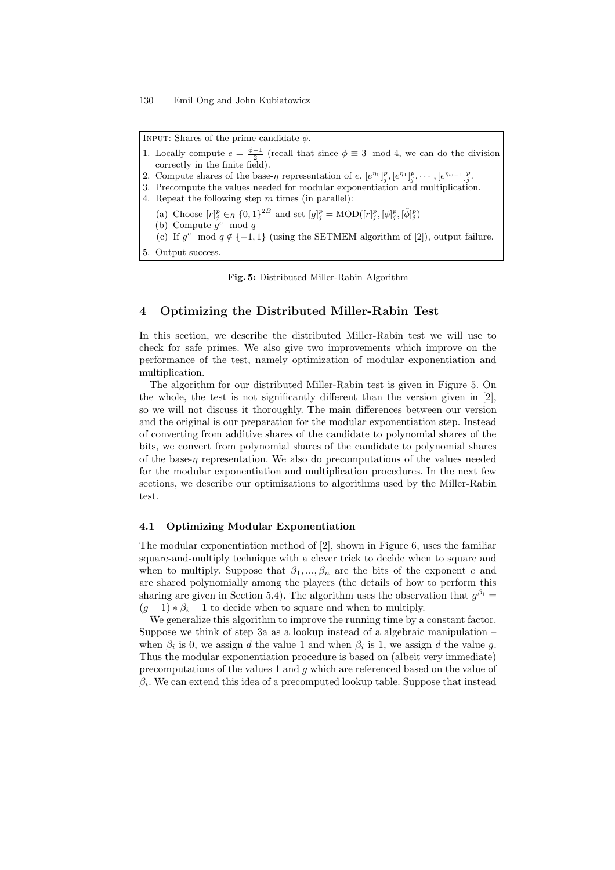INPUT: Shares of the prime candidate  $\phi$ .

```
1. Locally compute e = \frac{\phi - 1}{2} (recall that since \phi \equiv 3 \mod 4, we can do the division
   correctly in the finite field).
2. Compute shares of the base-\eta representation of e, [e^{\eta_0}]\frac{p}{j}, [e^{\eta_1}]\frac{p}{j}, \cdots, [e^{\eta_{\omega-1}}]\frac{p}{j}.
3. Precompute the values needed for modular exponentiation and multiplication.
4. Repeat the following step m times (in parallel):
    (a) Choose [r]_j^p \in_R \{0,1\}^{2B} and set [g]_j^p = \text{MOD}([r]_j^p, [\phi]_j^p, [\tilde{\phi}]_j^p)(b) Compute g^e mod q
    (c) If g^e \mod q \notin \{-1, 1\} (using the SETMEM algorithm of [2]), output failure.
5. Output success.
```
Fig. 5: Distributed Miller-Rabin Algorithm

## 4 Optimizing the Distributed Miller-Rabin Test

In this section, we describe the distributed Miller-Rabin test we will use to check for safe primes. We also give two improvements which improve on the performance of the test, namely optimization of modular exponentiation and multiplication.

The algorithm for our distributed Miller-Rabin test is given in Figure 5. On the whole, the test is not significantly different than the version given in [2], so we will not discuss it thoroughly. The main differences between our version and the original is our preparation for the modular exponentiation step. Instead of converting from additive shares of the candidate to polynomial shares of the bits, we convert from polynomial shares of the candidate to polynomial shares of the base- $\eta$  representation. We also do precomputations of the values needed for the modular exponentiation and multiplication procedures. In the next few sections, we describe our optimizations to algorithms used by the Miller-Rabin test.

#### 4.1 Optimizing Modular Exponentiation

The modular exponentiation method of [2], shown in Figure 6, uses the familiar square-and-multiply technique with a clever trick to decide when to square and when to multiply. Suppose that  $\beta_1, ..., \beta_n$  are the bits of the exponent e and are shared polynomially among the players (the details of how to perform this sharing are given in Section 5.4). The algorithm uses the observation that  $g^{\beta_i} =$  $(g-1) * \beta_i - 1$  to decide when to square and when to multiply.

We generalize this algorithm to improve the running time by a constant factor. Suppose we think of step 3a as a lookup instead of a algebraic manipulation – when  $\beta_i$  is 0, we assign d the value 1 and when  $\beta_i$  is 1, we assign d the value g. Thus the modular exponentiation procedure is based on (albeit very immediate) precomputations of the values 1 and g which are referenced based on the value of  $\beta_i$ . We can extend this idea of a precomputed lookup table. Suppose that instead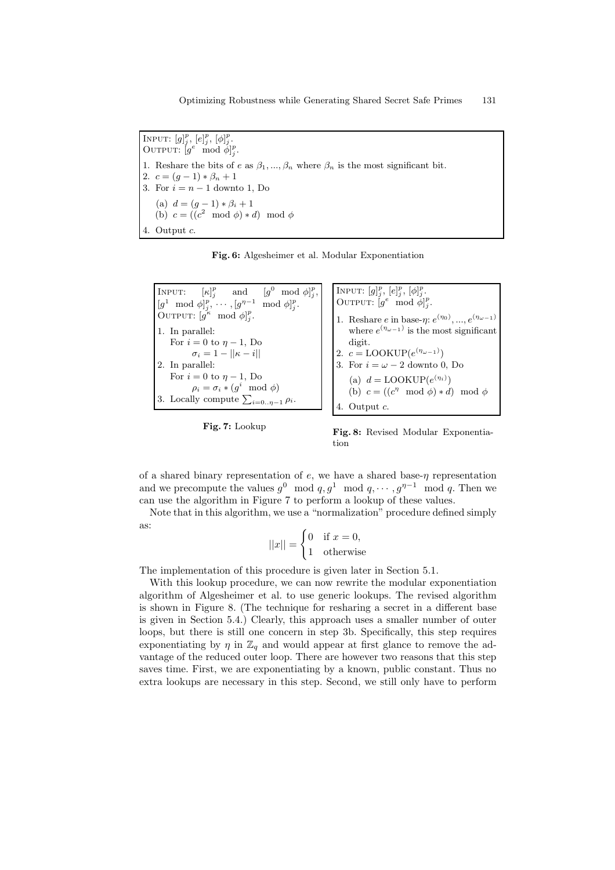INPUT:  $[g]_j^p$ ,  $[e]_j^p$ ,  $[\phi]_j^p$ . OUTPUT:  $[g^e \mod \phi]_j^p$ . 1. Reshare the bits of e as  $\beta_1, ..., \beta_n$  where  $\beta_n$  is the most significant bit. 2.  $c = (q-1) * \beta_n + 1$ 3. For  $i = n - 1$  downto 1, Do (a)  $d = (g-1) * \beta_i + 1$ (b)  $c = ((c^2 \mod \phi) * d) \mod \phi$ 4. Output c.

Fig. 6: Algesheimer et al. Modular Exponentiation





Fig. 8: Revised Modular Exponentiation

of a shared binary representation of  $e$ , we have a shared base- $\eta$  representation and we precompute the values  $g^0 \mod q$ ,  $g^1 \mod q$ ,  $\cdots$ ,  $g^{\eta-1} \mod q$ . Then we can use the algorithm in Figure 7 to perform a lookup of these values.

Note that in this algorithm, we use a "normalization" procedure defined simply as:

$$
||x|| = \begin{cases} 0 & \text{if } x = 0, \\ 1 & \text{otherwise} \end{cases}
$$

The implementation of this procedure is given later in Section 5.1.

With this lookup procedure, we can now rewrite the modular exponentiation algorithm of Algesheimer et al. to use generic lookups. The revised algorithm is shown in Figure 8. (The technique for resharing a secret in a different base is given in Section 5.4.) Clearly, this approach uses a smaller number of outer loops, but there is still one concern in step 3b. Specifically, this step requires exponentiating by  $\eta$  in  $\mathbb{Z}_q$  and would appear at first glance to remove the advantage of the reduced outer loop. There are however two reasons that this step saves time. First, we are exponentiating by a known, public constant. Thus no extra lookups are necessary in this step. Second, we still only have to perform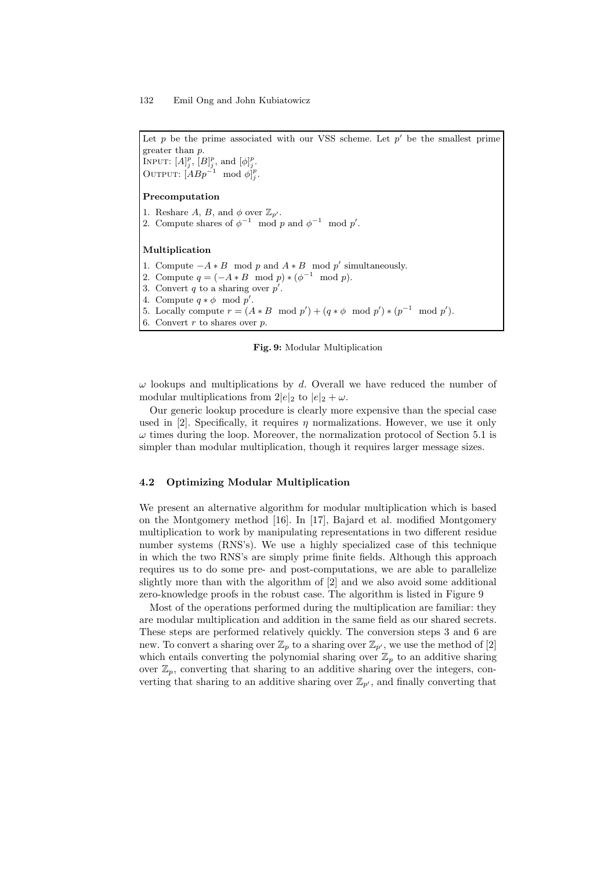Let  $p$  be the prime associated with our VSS scheme. Let  $p'$  be the smallest prime greater than p. INPUT:  $[A]_j^p$ ,  $[B]_j^p$ , and  $[\phi]_j^p$ . OUTPUT:  $[ABp^{-1} \mod \phi]_j^p$ . Precomputation 1. Reshare A, B, and  $\phi$  over  $\mathbb{Z}_{p'}$ . 2. Compute shares of  $\phi^{-1} \mod p$  and  $\phi^{-1} \mod p'$ . Multiplication 1. Compute  $-A * B \mod p$  and  $A * B \mod p'$  simultaneously. 2. Compute  $q = (-A * B \mod p) * (\phi^{-1} \mod p)$ . 3. Convert  $q$  to a sharing over  $p'$ . 4. Compute  $q * \phi \mod p'$ .

5. Locally compute  $r = (A * B \mod p') + (q * \phi \mod p') * (p^{-1} \mod p')$ .

6. Convert  $r$  to shares over  $p$ .



 $\omega$  lookups and multiplications by d. Overall we have reduced the number of modular multiplications from  $2|e|_2$  to  $|e|_2 + \omega$ .

Our generic lookup procedure is clearly more expensive than the special case used in [2]. Specifically, it requires  $\eta$  normalizations. However, we use it only  $\omega$  times during the loop. Moreover, the normalization protocol of Section 5.1 is simpler than modular multiplication, though it requires larger message sizes.

#### 4.2 Optimizing Modular Multiplication

We present an alternative algorithm for modular multiplication which is based on the Montgomery method [16]. In [17], Bajard et al. modified Montgomery multiplication to work by manipulating representations in two different residue number systems (RNS's). We use a highly specialized case of this technique in which the two RNS's are simply prime finite fields. Although this approach requires us to do some pre- and post-computations, we are able to parallelize slightly more than with the algorithm of [2] and we also avoid some additional zero-knowledge proofs in the robust case. The algorithm is listed in Figure 9

Most of the operations performed during the multiplication are familiar: they are modular multiplication and addition in the same field as our shared secrets. These steps are performed relatively quickly. The conversion steps 3 and 6 are new. To convert a sharing over  $\mathbb{Z}_p$  to a sharing over  $\mathbb{Z}_{p'}$ , we use the method of [2] which entails converting the polynomial sharing over  $\mathbb{Z}_p$  to an additive sharing over  $\mathbb{Z}_p$ , converting that sharing to an additive sharing over the integers, converting that sharing to an additive sharing over  $\mathbb{Z}_{p'}$ , and finally converting that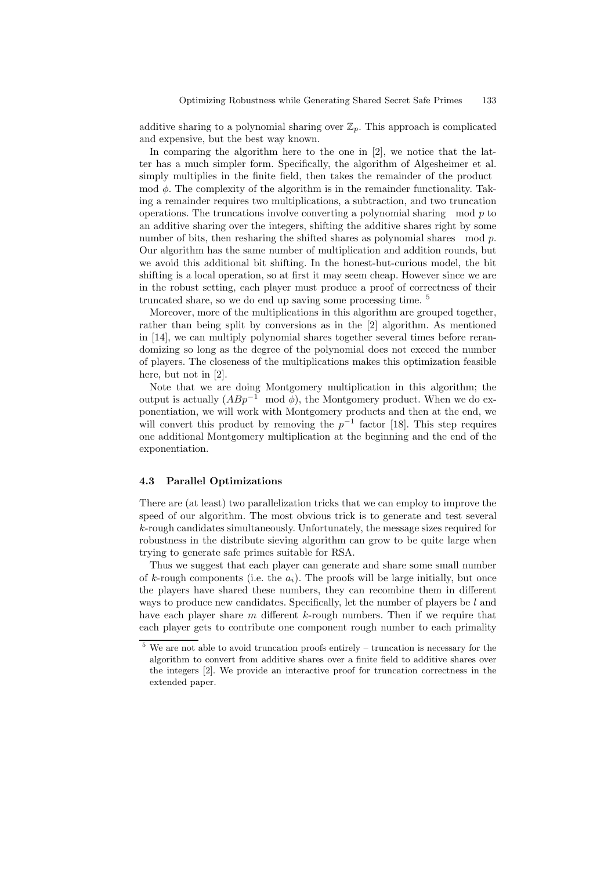additive sharing to a polynomial sharing over  $\mathbb{Z}_p$ . This approach is complicated and expensive, but the best way known.

In comparing the algorithm here to the one in [2], we notice that the latter has a much simpler form. Specifically, the algorithm of Algesheimer et al. simply multiplies in the finite field, then takes the remainder of the product mod  $\phi$ . The complexity of the algorithm is in the remainder functionality. Taking a remainder requires two multiplications, a subtraction, and two truncation operations. The truncations involve converting a polynomial sharing mod  $p$  to an additive sharing over the integers, shifting the additive shares right by some number of bits, then resharing the shifted shares as polynomial shares mod p. Our algorithm has the same number of multiplication and addition rounds, but we avoid this additional bit shifting. In the honest-but-curious model, the bit shifting is a local operation, so at first it may seem cheap. However since we are in the robust setting, each player must produce a proof of correctness of their truncated share, so we do end up saving some processing time. <sup>5</sup>

Moreover, more of the multiplications in this algorithm are grouped together, rather than being split by conversions as in the [2] algorithm. As mentioned in [14], we can multiply polynomial shares together several times before rerandomizing so long as the degree of the polynomial does not exceed the number of players. The closeness of the multiplications makes this optimization feasible here, but not in [2].

Note that we are doing Montgomery multiplication in this algorithm; the output is actually  $(ABp^{-1} \mod \phi)$ , the Montgomery product. When we do exponentiation, we will work with Montgomery products and then at the end, we will convert this product by removing the  $p^{-1}$  factor [18]. This step requires one additional Montgomery multiplication at the beginning and the end of the exponentiation.

#### 4.3 Parallel Optimizations

There are (at least) two parallelization tricks that we can employ to improve the speed of our algorithm. The most obvious trick is to generate and test several k-rough candidates simultaneously. Unfortunately, the message sizes required for robustness in the distribute sieving algorithm can grow to be quite large when trying to generate safe primes suitable for RSA.

Thus we suggest that each player can generate and share some small number of k-rough components (i.e. the  $a_i$ ). The proofs will be large initially, but once the players have shared these numbers, they can recombine them in different ways to produce new candidates. Specifically, let the number of players be  $l$  and have each player share  $m$  different  $k$ -rough numbers. Then if we require that each player gets to contribute one component rough number to each primality

 $5$  We are not able to avoid truncation proofs entirely – truncation is necessary for the algorithm to convert from additive shares over a finite field to additive shares over the integers [2]. We provide an interactive proof for truncation correctness in the extended paper.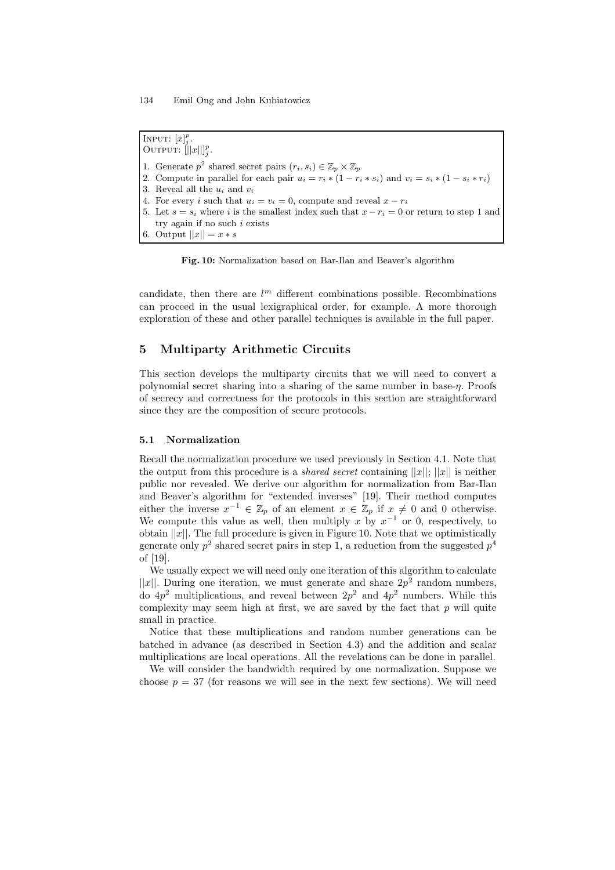INPUT:  $[x]_j^p$ . OUTPUT:  $\left\| |x| \right\|_j^p$ . 1. Generate  $p^2$  shared secret pairs  $(r_i, s_i) \in \mathbb{Z}_p \times \mathbb{Z}_p$ 2. Compute in parallel for each pair  $u_i = r_i * (1 - r_i * s_i)$  and  $v_i = s_i * (1 - s_i * r_i)$ 3. Reveal all the  $u_i$  and  $v_i$ 4. For every i such that  $u_i = v_i = 0$ , compute and reveal  $x - r_i$ 5. Let  $s = s_i$  where i is the smallest index such that  $x - r_i = 0$  or return to step 1 and try again if no such  $i$  exists 6. Output  $||x|| = x * s$ 

Fig. 10: Normalization based on Bar-Ilan and Beaver's algorithm

candidate, then there are  $l^m$  different combinations possible. Recombinations can proceed in the usual lexigraphical order, for example. A more thorough exploration of these and other parallel techniques is available in the full paper.

# 5 Multiparty Arithmetic Circuits

This section develops the multiparty circuits that we will need to convert a polynomial secret sharing into a sharing of the same number in base- $\eta$ . Proofs of secrecy and correctness for the protocols in this section are straightforward since they are the composition of secure protocols.

#### 5.1 Normalization

Recall the normalization procedure we used previously in Section 4.1. Note that the output from this procedure is a *shared secret* containing  $||x||$ ;  $||x||$  is neither public nor revealed. We derive our algorithm for normalization from Bar-Ilan and Beaver's algorithm for "extended inverses" [19]. Their method computes either the inverse  $x^{-1} \in \mathbb{Z}_p$  of an element  $x \in \mathbb{Z}_p$  if  $x \neq 0$  and 0 otherwise. We compute this value as well, then multiply x by  $x^{-1}$  or 0, respectively, to obtain  $||x||$ . The full procedure is given in Figure 10. Note that we optimistically generate only  $p^2$  shared secret pairs in step 1, a reduction from the suggested  $p^4$ of [19].

We usually expect we will need only one iteration of this algorithm to calculate  $||x||$ . During one iteration, we must generate and share  $2p^2$  random numbers, do  $4p^2$  multiplications, and reveal between  $2p^2$  and  $4p^2$  numbers. While this complexity may seem high at first, we are saved by the fact that  $p$  will quite small in practice.

Notice that these multiplications and random number generations can be batched in advance (as described in Section 4.3) and the addition and scalar multiplications are local operations. All the revelations can be done in parallel.

We will consider the bandwidth required by one normalization. Suppose we choose  $p = 37$  (for reasons we will see in the next few sections). We will need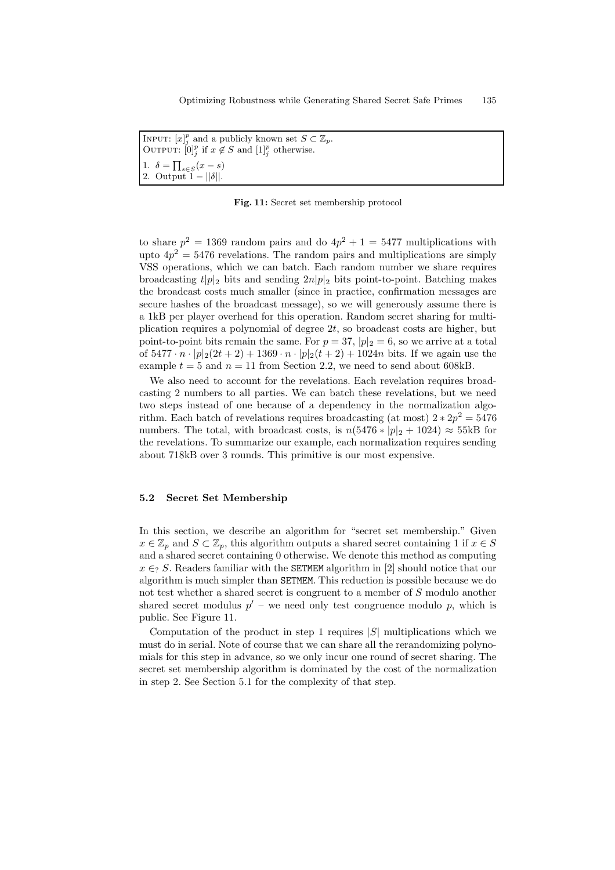| INPUT: $[x]_i^p$ and a publicly known set $S \subset \mathbb{Z}_p$ .<br>OUTPUT: $[0]^p_i$ if $x \notin S$ and $[1]^p_i$ otherwise. |
|------------------------------------------------------------------------------------------------------------------------------------|
| 1. $\delta = \prod_{s \in S} (x - s)$<br>2. Output $1 -   \delta  $ .                                                              |

Fig. 11: Secret set membership protocol

to share  $p^2 = 1369$  random pairs and do  $4p^2 + 1 = 5477$  multiplications with upto  $4p^2 = 5476$  revelations. The random pairs and multiplications are simply VSS operations, which we can batch. Each random number we share requires broadcasting  $t|p|_2$  bits and sending  $2n|p|_2$  bits point-to-point. Batching makes the broadcast costs much smaller (since in practice, confirmation messages are secure hashes of the broadcast message), so we will generously assume there is a 1kB per player overhead for this operation. Random secret sharing for multiplication requires a polynomial of degree  $2t$ , so broadcast costs are higher, but point-to-point bits remain the same. For  $p = 37$ ,  $|p|_2 = 6$ , so we arrive at a total of  $5477 \cdot n \cdot |p|_2(2t+2) + 1369 \cdot n \cdot |p|_2(t+2) + 1024n$  bits. If we again use the example  $t = 5$  and  $n = 11$  from Section 2.2, we need to send about 608kB.

We also need to account for the revelations. Each revelation requires broadcasting 2 numbers to all parties. We can batch these revelations, but we need two steps instead of one because of a dependency in the normalization algorithm. Each batch of revelations requires broadcasting (at most)  $2 \times 2p^2 = 5476$ numbers. The total, with broadcast costs, is  $n(5476 * |p|_2 + 1024) \approx 55 \text{kB}$  for the revelations. To summarize our example, each normalization requires sending about 718kB over 3 rounds. This primitive is our most expensive.

#### 5.2 Secret Set Membership

In this section, we describe an algorithm for "secret set membership." Given  $x \in \mathbb{Z}_p$  and  $S \subset \mathbb{Z}_p$ , this algorithm outputs a shared secret containing 1 if  $x \in S$ and a shared secret containing 0 otherwise. We denote this method as computing  $x \in S$ . Readers familiar with the SETMEM algorithm in [2] should notice that our algorithm is much simpler than SETMEM. This reduction is possible because we do not test whether a shared secret is congruent to a member of S modulo another shared secret modulus  $p'$  – we need only test congruence modulo p, which is public. See Figure 11.

Computation of the product in step 1 requires  $|S|$  multiplications which we must do in serial. Note of course that we can share all the rerandomizing polynomials for this step in advance, so we only incur one round of secret sharing. The secret set membership algorithm is dominated by the cost of the normalization in step 2. See Section 5.1 for the complexity of that step.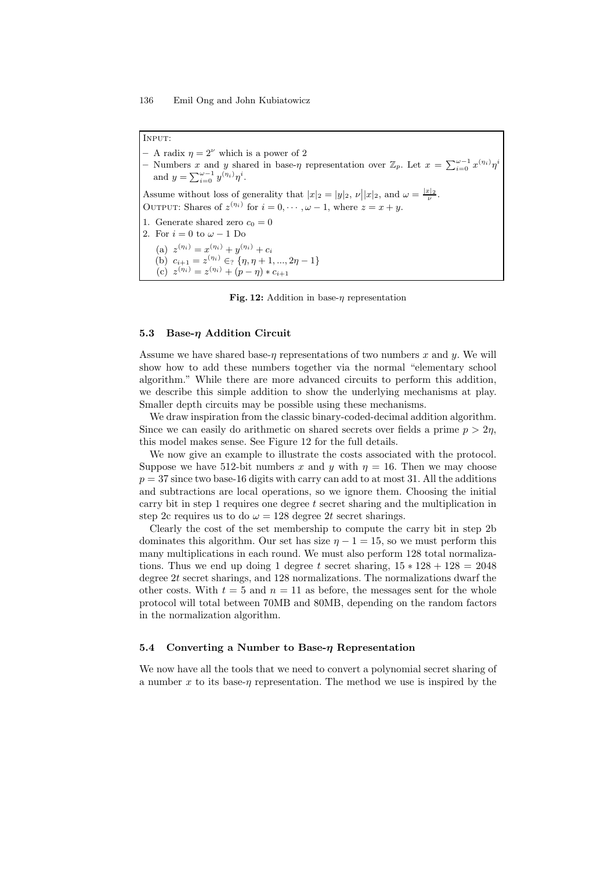Input:

- A radix  $\eta = 2^{\nu}$  which is a power of 2 - Numbers x and y shared in base- $\eta$  representation over  $\mathbb{Z}_p$ . Let  $x = \sum_{i=0}^{\omega-1} x^{(\eta_i)} \eta^i$ and  $y = \sum_{i=0}^{\omega-1} y^{(\eta_i)} \eta^i$ . Assume without loss of generality that  $|x|_2 = |y|_2$ ,  $\nu ||x|_2$ , and  $\omega = \frac{|x|_2}{\nu}$ . OUTPUT: Shares of  $z^{(\eta_i)}$  for  $i = 0, \dots, \omega - 1$ , where  $z = x + y$ . 1. Generate shared zero  $c_0 = 0$ 2. For  $i = 0$  to  $\omega - 1$  Do (a)  $z^{(\eta_i)} = x^{(\eta_i)} + y^{(\eta_i)} + c_i$ (b)  $c_{i+1} = z^{(\eta_i)} \in \{ \eta, \eta + 1, ..., 2\eta - 1 \}$ (c)  $z^{(\eta_i)} = z^{(\eta_i)} + (p - \eta) * c_{i+1}$ 

Fig. 12: Addition in base- $\eta$  representation

#### 5.3 Base- $\eta$  Addition Circuit

Assume we have shared base- $\eta$  representations of two numbers x and y. We will show how to add these numbers together via the normal "elementary school algorithm." While there are more advanced circuits to perform this addition, we describe this simple addition to show the underlying mechanisms at play. Smaller depth circuits may be possible using these mechanisms.

We draw inspiration from the classic binary-coded-decimal addition algorithm. Since we can easily do arithmetic on shared secrets over fields a prime  $p > 2\eta$ , this model makes sense. See Figure 12 for the full details.

We now give an example to illustrate the costs associated with the protocol. Suppose we have 512-bit numbers x and y with  $\eta = 16$ . Then we may choose  $p = 37$  since two base-16 digits with carry can add to at most 31. All the additions and subtractions are local operations, so we ignore them. Choosing the initial carry bit in step 1 requires one degree  $t$  secret sharing and the multiplication in step 2c requires us to do  $\omega = 128$  degree 2t secret sharings.

Clearly the cost of the set membership to compute the carry bit in step 2b dominates this algorithm. Our set has size  $\eta - 1 = 15$ , so we must perform this many multiplications in each round. We must also perform 128 total normalizations. Thus we end up doing 1 degree t secret sharing,  $15 * 128 + 128 = 2048$ degree 2t secret sharings, and 128 normalizations. The normalizations dwarf the other costs. With  $t = 5$  and  $n = 11$  as before, the messages sent for the whole protocol will total between 70MB and 80MB, depending on the random factors in the normalization algorithm.

#### 5.4 Converting a Number to Base- $\eta$  Representation

We now have all the tools that we need to convert a polynomial secret sharing of a number x to its base- $\eta$  representation. The method we use is inspired by the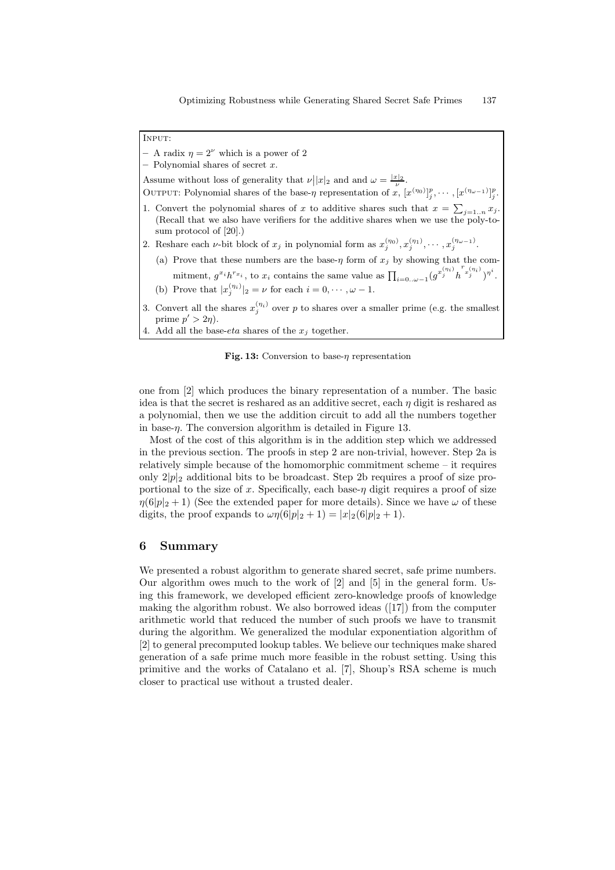Input:

- A radix  $\eta = 2^{\nu}$  which is a power of 2

 $-$  Polynomial shares of secret  $x$ .

Assume without loss of generality that  $\nu ||x|_2$  and and  $\omega = \frac{|x|_2}{\nu}$ .

- OUTPUT: Polynomial shares of the base- $\eta$  representation of  $x, [x^{(\eta_0)}]_j^p, \cdots, [x^{(\eta_{\omega-1})}]_j^p$ . 1. Convert the polynomial shares of x to additive shares such that  $x = \sum_{j=1...n} x_j$ . (Recall that we also have verifiers for the additive shares when we use the poly-tosum protocol of [20].)
- 2. Reshare each *v*-bit block of  $x_j$  in polynomial form as  $x_j^{(\eta_0)}, x_j^{(\eta_1)}, \cdots, x_j^{(\eta_{\omega-1})}$ .
	- (a) Prove that these numbers are the base- $\eta$  form of  $x_j$  by showing that the commitment,  $g^{x_i}h^{r_{x_i}}$ , to  $x_i$  contains the same value as  $\prod_{i=0..\omega-1} (g^{x_j^{(\eta_i)}}h^{r_x^{(\eta_i)}})^{\eta^i}$ . (b) Prove that  $|x_j^{(\eta_i)}|_2 = \nu$  for each  $i = 0, \dots, \omega - 1$ .
- 3. Convert all the shares  $x_j^{(\eta_i)}$  over p to shares over a smaller prime (e.g. the smallest prime  $p' > 2\eta$ ).
- 4. Add all the base-eta shares of the  $x_i$  together.

Fig. 13: Conversion to base- $\eta$  representation

one from [2] which produces the binary representation of a number. The basic idea is that the secret is reshared as an additive secret, each  $\eta$  digit is reshared as a polynomial, then we use the addition circuit to add all the numbers together in base- $\eta$ . The conversion algorithm is detailed in Figure 13.

Most of the cost of this algorithm is in the addition step which we addressed in the previous section. The proofs in step 2 are non-trivial, however. Step 2a is relatively simple because of the homomorphic commitment scheme – it requires only  $2|p|_2$  additional bits to be broadcast. Step 2b requires a proof of size proportional to the size of x. Specifically, each base- $\eta$  digit requires a proof of size  $\eta(6|p|_2+1)$  (See the extended paper for more details). Since we have  $\omega$  of these digits, the proof expands to  $\omega \eta(6|p|_2 + 1) = |x|_2(6|p|_2 + 1)$ .

## 6 Summary

We presented a robust algorithm to generate shared secret, safe prime numbers. Our algorithm owes much to the work of [2] and [5] in the general form. Using this framework, we developed efficient zero-knowledge proofs of knowledge making the algorithm robust. We also borrowed ideas ([17]) from the computer arithmetic world that reduced the number of such proofs we have to transmit during the algorithm. We generalized the modular exponentiation algorithm of [2] to general precomputed lookup tables. We believe our techniques make shared generation of a safe prime much more feasible in the robust setting. Using this primitive and the works of Catalano et al. [7], Shoup's RSA scheme is much closer to practical use without a trusted dealer.